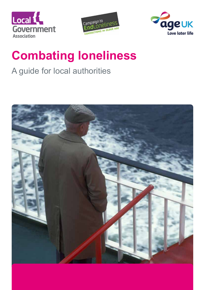





# **Combating loneliness**

# A guide for local authorities

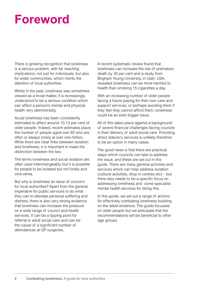# **Foreword**

There is growing recognition that loneliness is a serious problem, with far reaching implications, not just for individuals, but also for wider communities, which merits the attention of local authorities.

Whilst in the past, loneliness was sometimes viewed as a trivial matter, it is increasingly understood to be a serious condition which can affect a person's mental and physical health very detrimentally.

Acute loneliness has been consistently estimated to affect around 10-13 per cent of older people. Indeed, recent estimates place the number of people aged over 65 who are often or always lonely at over one million. While there are clear links between isolation and loneliness, it is important to make the distinction between the two.

The terms loneliness and social isolation are often used interchangeably, but it is possible for people to be isolated but not lonely and vice-versa.

But why is loneliness an issue of concern for local authorities? Apart from the general imperative for public services to do what they can to alleviate personal suffering and distress, there is also very strong evidence that loneliness can increase the pressure on a wide range of council and health services. It can be a tipping point for referral to adult social care and can be the cause of a significant number of attendances at GP surgeries.

A recent systematic review found that loneliness can increase the risk of premature death by 30 per cent and a study from Brigham Young University, in Utah, USA, revealed loneliness can be more harmful to health than smoking 15 cigarettes a day.

With an increasing number of older people facing a future paying for their own care and support services, or perhaps avoiding them if they feel they cannot afford them, loneliness could be an even bigger issue.

All of this takes place against a background of severe financial challenges facing councils in their delivery of adult social care. Providing direct statutory services is unlikely therefore to be an option in many cases.

The good news is that there are practical steps which councils can take to address the issue, and these are set out in this guide. There are many general activities and services which can help address isolation (cultural activities, drop in centres etc) – but there also needs to be a specific focus on addressing loneliness and some specialist mental health services for doing this.

In this guide, we set out a range of actions for effectively combating loneliness building on the latest evidence. The guide focusses on older people but we anticipate that the recommendations will be beneficial to other age groups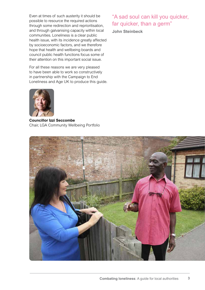Even at times of such austerity it should be possible to resource the required actions through some redirection and reprioritisation, and through galvanising capacity within local communities. Loneliness is a clear public health issue, with its incidence greatly affected by socioeconomic factors, and we therefore hope that health and wellbeing boards and council public health functions focus some of their attention on this important social issue.

For all these reasons we are very pleased to have been able to work so constructively in partnership with the Campaign to End Loneliness and Age UK to produce this guide.



**Councillor Izzi Seccombe** Chair, LGA Community Wellbeing Portfolio

## "A sad soul can kill you quicker, far quicker, than a germ"

**John Steinbeck**

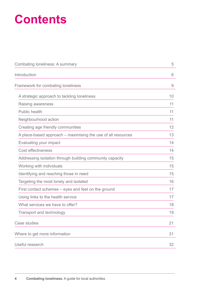# **Contents**

| <b>Combating loneliness: A summary</b>                       | 5  |
|--------------------------------------------------------------|----|
| Introduction                                                 | 6  |
| Framework for combating loneliness                           | 9  |
| A strategic approach to tackling loneliness                  | 10 |
| Raising awareness                                            | 11 |
| <b>Public health</b>                                         | 11 |
| Neighbourhood action                                         | 11 |
| Creating age friendly communities                            | 12 |
| A place-based approach – maximising the use of all resources | 13 |
| Evaluating your impact                                       | 14 |
| <b>Cost effectiveness</b>                                    | 14 |
| Addressing isolation through building community capacity     | 15 |
| Working with individuals                                     | 15 |
| Identifying and reaching those in need                       | 15 |
| Targeting the most lonely and isolated                       | 16 |
| First contact schemes – eyes and feet on the ground          | 17 |
| Using links to the health service                            | 17 |
| What services we have to offer?                              | 18 |
| <b>Transport and technology</b>                              | 19 |
| <b>Case studies</b>                                          | 21 |
| Where to get more information                                | 31 |
| Useful research                                              | 32 |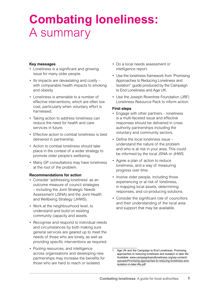# **Combating loneliness:**  A summary

### **Key messages**

- Loneliness is a significant and growing issue for many older people.
- Its impacts are devastating and costly with comparable health impacts to smoking and obesity.
- Loneliness is amenable to a number of effective interventions, which are often low cost, particularly when voluntary effort is harnessed.
- Taking action to address loneliness can reduce the need for health and care services in future.
- Effective action to combat loneliness is best delivered in partnership.
- Action to combat loneliness should take place in the context of a wider strategy to promote older people's wellbeing.
- Many GP consultations may have loneliness at the root of the problem.

### **Recommendations for action**

- Consider 'addressing loneliness' as an outcome measure of council strategies – including the Joint Strategic Needs Assessment (JSNA) and the Joint Health and Wellbeing Strategy (JHWS).
- Work at the neighbourhood level, to understand and build on existing community capacity and assets.
- Recognise and respond to individual needs and circumstances by both making sure general services are geared up to meet the needs of those who are lonely, as well as providing specific interventions as required.
- Pooling resources, and intelligence across organisations and developing new partnerships may increase the benefits for those who are hard to reach or isolated.
- Do a local needs assessment or intelligence report.
- Use the loneliness framework from 'Promising Approaches to Reducing Loneliness and Isolation'1 guide produced by the Campaign to End Loneliness and Age UK.
- Use the Joseph Rowntree Foundation (JRF) Loneliness Resource Pack to inform action.

### **First steps**

- Engage with other partners loneliness is a multi-faceted issue and effective responses should be delivered in cross authority partnerships including the voluntary and community sectors.
- Define the local loneliness issue understand the nature of the problem and who is at risk in your area. This could be informed by the local JSNA or JHWS.
- Agree a plan of action to reduce loneliness, and a way of measuring progress over time.
- Involve older people, including those experiencing or at risk of loneliness, in mapping local assets, determining responses, and co-producing solutions.
- Consider the significant role of councillors and their understanding of the local area and support that may be available.

Age UK and the Campaign to End Loneliness. Promising approaches to reducing loneliness and isolation in later life. Available: [www.campaigntoendloneliness.org/wp-content/](http://www.campaigntoendloneliness.org/wp-content/uploads/Promising-approaches-to-reducing-loneliness-and-isolation-in-later-life.pdf) [uploads/Promising-approaches-to-reducing-loneliness-and](http://www.campaigntoendloneliness.org/wp-content/uploads/Promising-approaches-to-reducing-loneliness-and-isolation-in-later-life.pdf)[isolation-in-later-life.pdf](http://www.campaigntoendloneliness.org/wp-content/uploads/Promising-approaches-to-reducing-loneliness-and-isolation-in-later-life.pdf)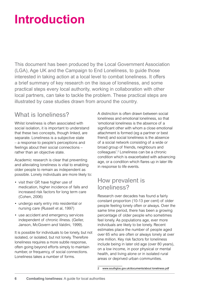# **Introduction**

This document has been produced by the Local Government Association (LGA), Age UK and the Campaign to End Loneliness, to guide those interested in taking action at a local level to combat loneliness. It offers a brief summary of key research on the issue of loneliness, and some practical steps every local authority, working in collaboration with other local partners, can take to tackle the problem. These practical steps are illustrated by case studies drawn from around the country.

# What is loneliness?

Whilst loneliness is often associated with social isolation, it is important to understand that these two concepts, though linked, are separate. Loneliness is a subjective state – a response to people's perceptions and feelings about their social connections – rather than an objective state.

Academic research is clear that preventing and alleviating loneliness is vital to enabling older people to remain as independent as possible. Lonely individuals are more likely to:

- visit their GP, have higher use of medication, higher incidence of falls and increased risk factors for long term care (Cohen, 2006)
- undergo early entry into residential or nursing care (Russell et al, 1997)
- use accident and emergency services independent of chronic illness. (Geller, Janson, McGovern and Valdini, 1999).

It is possible for individuals to be lonely, but not isolated, or isolated, but not lonely. Therefore loneliness requires a more subtle response, often going beyond efforts simply to maintain number, or frequency, of social connections. Loneliness takes a number of forms.

A distinction is often drawn between social loneliness and emotional loneliness, so that 'emotional loneliness is the absence of a significant other with whom a close emotional attachment is formed (eg a partner or best friend) and social loneliness is the absence of a social network consisting of a wide or broad group of friends, neighbours and colleagues'.2 Loneliness can be a chronic condition which is exacerbated with advancing age, or a condition which flares up in later life in response to life events.

# How prevalent is loneliness?

Research over decades has found a fairly constant proportion (10-13 per cent) of older people feeling lonely often or always. Over the same time period, there has been a growing percentage of older people who sometimes feel lonely. As populations age, ever more individuals are likely to be lonely. Recent estimates place the number of people aged over 65 who are often or always lonely at over one million. Key risk factors for loneliness include being in later old age (over 80 years), on a low income, in poor physical or mental health, and living alone or in isolated rural areas or deprived urban communities.

[www.southglos.gov.uk/documents/about loneliness.pdf](https://www.southglos.gov.uk/documents/about loneliness.pdf)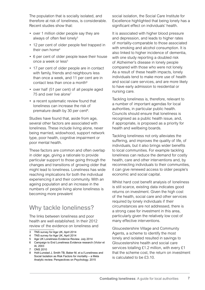The population that is socially isolated, and therefore at risk of loneliness, is considerable. Recent studies show that:

- over 1 million older people say they are always of often feel lonely<sup>3</sup>
- 12 per cent of older people feel trapped in their own home<sup>4</sup>
- 6 per cent of older people leave their house once a week or less<sup>5</sup>
- 17 per cent of older people are in contact with family, friends and neighbours less than once a week, and 11 per cent are in contact less than once a month $6$
- over half (51 per cent) of all people aged 75 and over live alone<sup>7</sup>
- a recent systematic review found that loneliness can increase the risk of premature death by 30 per cent<sup>8</sup>.

Studies have found that, aside from age, several other factors are associated with loneliness. These include living alone, never being married, widowhood, support network type, poor health, cognitive impairment or poor mental health.

These factors are common and often overlap in older age, giving a rationale to provide particular support to those going through the changes and transitions of growing older that might lead to loneliness. Loneliness has wide reaching implications for both the individual experiencing it and their community. With an ageing population and an increase in the numbers of people living alone loneliness is becoming more prevalent

# Why tackle loneliness?

The links between loneliness and poor health are well established. In their 2012 review of the evidence on loneliness and

- 3 TNS survey for Age UK, April 2014
- 4 TNS survey for Age UK, April 2014
- 5 Age UK Loneliness Evidence Review. July 2014

**ONS 2010** 

social isolation, the Social Care Institute for Excellence highlighted that being lonely has a significant effect on individuals' health.

It is associated with higher blood pressure and depression, and leads to higher rates of mortality-comparable to those associated with smoking and alcohol consumption. It is also linked to higher incidence of dementia, with one study reporting a doubled risk of Alzheimer's disease in lonely people compared with those who were not lonely. As a result of these health impacts, lonely individuals tend to make more use of health and social care services, and are more likely to have early admission to residential or nursing care.

Tackling loneliness is, therefore, relevant to a number of important agendas for local authorities, in particular public health. Councils should ensure that loneliness is recognised as a public health issue, and, if appropriate, is proposed as a priority for health and wellbeing boards.

Tackling loneliness not only alleviates the suffering, and improves the quality of life, of individuals, but it also brings wider benefits to local communities. For example tackling loneliness can reduce the demand for costly health, care and other interventions and, by reconnecting individuals to their communities, it can give renewed access to older people's economic and social capital.

Whilst hard cost benefit analysis of loneliness is still scarce, existing data indicates good returns on investment. Given the high cost of the health, social care and other services required by lonely individuals if their circumstances are not addressed, there is a strong case for investment in this area, particularly given the relatively low cost of many effective interventions.

Gloucestershire Village and Community Agents, a scheme to identify the most lonely and isolated resulted in savings to Gloucestershire health and social care services totalling £1.2 million, with every £1 that the scheme cost, the return on investment is calculated to be £3.10.

<sup>6</sup> Campaign to End Loneliness Evidence research (Victor et Al, 2003

<sup>8</sup> Holt-Lunstad J, Smith TB, Baker M, et a.l'Loneliness and Social Isolation as Risk Factors for mortality – a Meta Analytic review. Perspectives on Psychology. 2015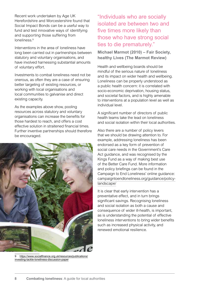Recent work undertaken by Age UK Herefordshire and Worcestershire found that Social Impact Bonds can be a useful way to fund and test innovative ways of identifying and supporting those suffering from loneliness<sup>9</sup>

Interventions in the area of loneliness have long been carried out in partnerships between statutory and voluntary organisations, and have involved harnessing substantial amounts of voluntary effort.

Investments to combat loneliness need not be onerous, as often they are a case of ensuring better targeting of existing resources, or working with local organisations and local communities to galvanise and direct existing capacity.

As the examples above show, pooling resources across statutory and voluntary organisations can increase the benefits for those hardest to reach, and offers a cost effective solution in straitened financial times. Further inventive partnerships should therefore be encouraged.



9 [https://www.socialfinance.org.uk/resources/publications/](https://www.socialfinance.org.uk/resources/publications/investing-tackle-loneliness-discussion-paper) investing-tackle-loneliness-discussion-paper

"Individuals who are socially isolated are between two and five times more likely than those who have strong social ties to die prematurely."

**Michael Marmot (2010) – Fair Society, healthy Lives (The Marmot Review)**

Health and wellbeing boards should be mindful of the serious nature of loneliness and its impact on wider health and wellbeing. Loneliness can be properly understood as a public health concern: it is correlated with socio-economic deprivation, housing status, and societal factors, and is highly amenable to interventions at a population level as well as individual level.

A significant number of directors of public health teams take the lead on loneliness and social isolation within their local authorities.

Also there are a number of policy levers that we should be drawing attention to. For example, addressing loneliness has been endorsed as a key form of prevention of social care needs in the Government's Care Act guidance, and was recognised by the Kings Fund as a way of making best use of the Better Care Fund. More information and policy briefings can be found in the Campaign to End Loneliness' online guidance: [campaigntoendloneliness.org/guidance/policy](http://campaigntoendloneliness.org/guidance/policy-landscape/)[landscape/](http://campaigntoendloneliness.org/guidance/policy-landscape/)

It is clear that early intervention has a preventative effect, and in turn brings significant savings. Recognising loneliness and social isolation as both a cause and consequence of wider ill-health, is important, as is understanding the potential of effective loneliness interventions to bring wider benefits such as increased physical activity, and renewed emotional resilience.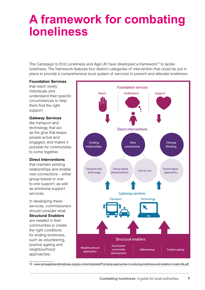# **A framework for combating loneliness**

The Campaign to End Loneliness and Age UK have developed a framework<sup>10</sup> to tackle loneliness. The framework features four distinct categories of intervention that could be put in place to provide a comprehensive local system of services to prevent and alleviate loneliness:

#### **Foundation Services**

that reach lonely individuals and understand their specific circumstances to help them find the right support.

#### **Gateway Services**

like transport and technology that act as the glue that keeps people active and engaged, and makes it possible for communities to come together.

### **Direct Interventions**

that maintain existing relationships and enable new connections – either group-based or oneto-one support, as well as emotional support services.

In developing these services, commissioners should consider what **Structural Enablers**  are needed in their communities to create the right conditions for ending loneliness, such as volunteering, positive ageing and neighbourhood approaches.



10 [www.campaigntoendloneliness.org/wp-content/uploads/Promising-approaches-to-reducing-loneliness-and-isolation-in-later-life.pdf](http://www.campaigntoendloneliness.org/wp-content/uploads/Promising-approaches-to-reducing-loneliness-and-isolation-in-later-life.pdf)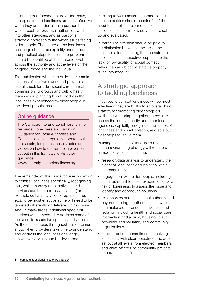Given the multifaceted nature of the issue, strategies to end loneliness are most effective when they are undertaken in partnerships which reach across local authorities, and into other agencies, and as part of a strategic approach to the wider issues facing older people. The nature of the loneliness challenge should be explicitly understood, and practical steps to tackle the problem should be identified at the strategic level across the authority and at the levels of the neighbourhood and the individual.

This publication will aim to build on the main sections of the framework and provide a useful check for adult social care, clinical commissioning groups and public health teams when planning how to address the loneliness experienced by older people in their local populations.

### Online guidance

The Campaign to End Loneliness' online resource, Loneliness and Isolation: Guidance for Local Authorities and Commissioners is regularly updated with factsheets, templates, case studies and videos on how to deliver the interventions set out in this framework. Visit their guidance:

[www.campaigntoendloneliness.org.uk](http://www.campaigntoendloneliness.org.uk)

The remainder of this guide focuses on action to combat loneliness specifically, recognising that, whilst many general activities and services can help address isolation (for example cultural activities, drop in centres etc), to be most effective some will need to be targeted differently, or delivered in new ways. And, in many areas, additional specialist services will be needed to address some of the specific issues facing lonely individuals. As the case studies throughout this document show, when providers take time to understand and address the loneliness challenge, innovative services can be developed.

In taking forward action to combat loneliness local authorities should be mindful of the need to establish a clear definition of loneliness, to inform how services are set up and evaluated.

In particular, attention should be paid to the distinction between loneliness and social isolation, ensuring that the nature of loneliness as a subjective response to the lack, or low quality, of social contact, rather than an objective state, is properly taken into account.

# A strategic approach to tackling loneliness

Initiatives to combat loneliness will be most effective if they are built into an overarching strategy for promoting older people's wellbeing with brings together actors from across the local authority and other local agencies, explicitly recognises the issues of loneliness and social isolation, and sets out clear steps to tackle them.

Building the issues of loneliness and isolation into an overarching strategy will require a number of actions, including:

- research/data analysis to understand the extent of loneliness and isolation within the community
- engagement with older people, including as far as possible those experiencing, or at risk of loneliness, to assess the issue and identify and coproduce solutions
- relationships across the local authority and beyond to bring together all those who can make a difference to loneliness and isolation, including health and social care, information and advice, housing, leisure providers and voluntary and community organisations
- a top-to-bottom commitment to tackling loneliness, with clear objectives and actions set out at all levels from elected members and chief officers, to community projects and front line staff.

<sup>11</sup> [campaigntoendloneliness.org/guidance/](http://campaigntoendloneliness.org/guidance/)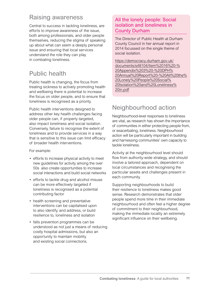## Raising awareness

Central to success in tackling loneliness, are efforts to improve awareness of the issue, both among professionals, and older people themselves, reducing the stigma of speaking up about what can seem a deeply personal issue and ensuring that local services understand the role they can play in combating loneliness.

# Public health

Public health is changing, the focus from treating sickness to actively promoting health and wellbeing there is potential to increase the focus on older people, and to ensure that loneliness is recognised as a priority.

Public health interventions designed to address other key health challenges facing older people can, if properly targeted, also impact loneliness and social isolation. Conversely, failure to recognise the extent of loneliness and to provide services in a way that is sensitive to this issue can limit efficacy of broader health interventions.

For example:

- efforts to increase physical activity to meet new guidelines for activity among the over 50s also create opportunities to increase social interactions and build social networks
- efforts to tackle drug and alcohol misuse can be more effectively targeted if loneliness is recognised as a potential contributing factor
- health screening and preventative interventions can be capitalised upon to also identify, and address, or build resilience to, loneliness and isolation
- falls prevention programmes can be understood as not just a means of reducing costly hospital admissions, but also an opportunity to maintain mobility and existing social connections.

### All the lonely people: Social isolation and loneliness in County Durham

The Director of Public Health at Durham County Council in her annual report in 2014 focussed on the single theme of social isolation.

https://democracy.durham.gov.uk/ documents/s48104/Item%2016%20-% 20Appendix%203%20-%20DPH% [20Annual%20Report%20-%20All%20the%](https://democracy.durham.gov.uk/documents/s48104/Item%2016%20-%20Appendix%203%20-%20DPH%20Annual%20Report%20-%20All%20the%20Lonely%20People%20Social%20Isolation%20and%20Loneliness%20in.pdf) 20Lonely%20People%20Social% 20Isolation%20and%20Loneliness% 20in.pdf

# Neighbourhood action

Neighbourhood-level responses to loneliness are vital, as research has shown the importance of communities in either protecting people from, or exacerbating, loneliness. Neighbourhood action will be particularly important in building and harnessing communities' own capacity to tackle loneliness.

Activity at the neighbourhood level should flow from authority-wide strategy, and should involve a tailored approach, dependent on local circumstances and recognising the particular assets and challenges present in each community.

Supporting neighbourhoods to build their resilience to loneliness makes good sense. Research demonstrates that older people spend more time in their immediate neighbourhood and often feel a higher degree of commitment to their neighbourhood, making the immediate locality an extremely significant influence on their wellbeing.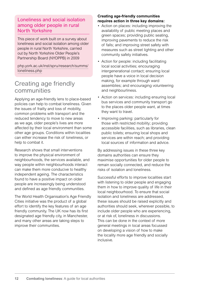### Loneliness and social isolation among older people in rural North Yorkshire

This piece of work built on a survey about loneliness and social isolation among older people in rural North Yorkshire, carried out by North Yorkshire Older People's Partnership Board (NYOPPB) in 2009

[php.york.ac.uk/inst/spru/research/summs/](http://php.york.ac.uk/inst/spru/research/summs/loneliness.php) [loneliness.php](http://php.york.ac.uk/inst/spru/research/summs/loneliness.php)

# Creating age friendly communities

Applying an age-friendly lens to place-based policies can help to combat loneliness. Given the issues of frailty and loss of mobility, common problems with transport and the reduced tendency to move to new areas as we age, older people's lives are more affected by their local environment than some other age groups. Conditions within localities can either increase the risk of loneliness, or help to combat it.

Research shows that small interventions to improve the physical environment of neighbourhoods, the services available, and way people within neighbourhoods interact can make them more conducive to healthy independent ageing. The characteristics found to have a positive impact on older people are increasingly being understood and defined as age friendly communities.

The World Health Organisation's Age Friendly Cities initiative was the product of a global effort to identify the key features of an age friendly community. The UK now has its first designated age friendly city, in Manchester, and many other areas are taking steps to improve their communities.

### **Creating age-friendly communities requires action in three key domains:**

- Action on places: including improving the availability of public meeting places and green spaces; providing public seating, improving pavements to reduce the risk of falls; and improving street safety with measures such as street lighting and other community safety initiatives.
- Action for people: including facilitating local social activities; encouraging intergenerational contact; ensuring local people have a voice in local decision making, for example through ward assemblies; and encouraging volunteering and neighbourliness.
- Action on services: including ensuring local bus services and community transport go to the places older people want, at times they want to travel.
- Improving parking: particularly for those with restricted mobility; providing accessible facilities, such as libraries, clean public toilets; ensuring local shops and services are within reach; and providing local sources of information and advice.

By addressing issues in these three key domains authorities can ensure they maximise opportunities for older people to remain socially connected, and reduce the risks of isolation and loneliness.

Successful efforts to improve localities start with listening to older people and engaging them in how to improve quality of life in their local neighbourhood. To ensure that social isolation and loneliness are addressed, these issues should be raised explicitly and authorities should seek, wherever possible, to include older people who are experiencing, or at risk of, loneliness in discussions. This can be done in the context of more general meetings in local areas focussed on developing a vision of how to make the locality more age friendly and socially inclusive.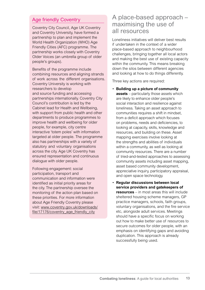### Age friendly Coventry

Coventry City Council, Age UK Coventry and Coventry University, have formed a partnership to plan and implement the World Health Organization (WHO) Age Friendly Cities (AFC) programme. The partnership works closely with Coventry Older Voices (an umbrella group of older people's groups).

Benefits of the programme include combining resources and aligning strands of work across the different organisations. Coventry University is working with researchers to develop and source funding and accessing partnerships internationally. Coventry City Council's contribution is led by the Cabinet lead for Health and Wellbeing, with support from public health and other departments to produce programmes to improve health and wellbeing for older people, for example, city centre interactive 'totem poles' with information targeted at older people. The programme also has partnerships with a variety of statutory and voluntary organisations across the city. Age UK Coventry has ensured representation and continuous dialogue with older people.

Following engagement: social participation, transport and communication and information were identified as initial priority areas for the city. The partnership oversee the monitoring of the action plan based on these priorities. For more information about Age Friendly Coventry please visit: www.coventry.gov.uk/downloads/ [file/17176/coventry\\_age\\_friendly\\_city](www.coventry.gov.uk/downloads/file/17176/coventry_age_friendly_city)

# A place-based approach – maximising the use of all resources

Loneliness initiatives will deliver best results if undertaken in the context of a wider place-based approach to neighbourhood challenges, bringing together all local actors and making the best use of existing capacity within the community. This means breaking down the silos between different agencies and looking at how to do things differently.

Three key actions are required:

- **Building up a picture of community assets** – particularly those assets which are likely to enhance older people's social interaction and resilience against loneliness. Taking an asset approach to communities requires a shift in mindset, from a deficit approach which focuses on problems, needs and deficiencies, to looking at capacity, skills, knowledge and resources, and building on these. Asset mapping exercises involve looking at the strengths and abilities of individuals within a community, as well as looking at community resources. There are a number of tried-and-tested approaches to assessing community assets including asset mapping, asset based community development, appreciative inquiry, participatory appraisal, and open space technology.
- **Regular discussions between local service providers and gatekeepers of resources** – in most areas this will include sheltered housing scheme managers, GP practice managers, schools, faith groups, voluntary organisations, and the fire service etc, alongside adult services. Meetings should have a specific focus on working out how to make better use of resources to secure outcomes for older people, with an emphasis on identifying gaps and avoiding duplication. This approach is already successfully being used.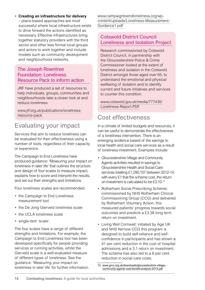### • **Creating an infrastructure for delivery**

– place-based approaches are most successful where local infrastructure exists to drive forward the actions identified as necessary. Effective infrastructures bring together statutory providers with the third sector and other less formal local groups and actors to work together and include models such as community development and neighbourhood networks.

### The Joseph Rowntree Foundation: Loneliness Resource Pack to inform action

JRF have produced a set of resources to help individuals, groups, communities and neighbourhoods take a closer look at and reduce loneliness.

[www.jrf.org.uk/publications/loneliness](http://www.jrf.org.uk/publications/loneliness-resource-pack)[resource-pack](http://www.jrf.org.uk/publications/loneliness-resource-pack)

# Evaluating your impact

Services that aim to reduce loneliness can be evaluated for their effectiveness using a number of tools, regardless of their capacity or experience.

The Campaign to End Loneliness have produced guidance: 'Measuring your impact on loneliness in later life' that outlines the structure and design of four scales to measure impact, explains how to score and interpret the results, and set out their strengths and limitations.

Four loneliness scales are recommended:

- the Campaign to End Loneliness measurement tool
- the De Jong Gierveld loneliness scale
- the UCLA loneliness scale
- single-item 'scale'.

The four scales have a range of different strengths and limitations. For example, the Campaign to End Loneliness tool has been developed specifically for people providing services or running activities, whilst the Gierveld scale is a well-evaluated measure of different types of loneliness. See the guidance: 'Measuring your impact on loneliness in later life' for further information. [www.campaigntoendloneliness.org/wp](http://www.campaigntoendloneliness.org/wp-content/uploads/Loneliness-Measurement-Guidance1.pdf)[content/uploads/Loneliness-Measurement-](http://www.campaigntoendloneliness.org/wp-content/uploads/Loneliness-Measurement-Guidance1.pdf)[Guidance1.pdf](http://www.campaigntoendloneliness.org/wp-content/uploads/Loneliness-Measurement-Guidance1.pdf)

### Cotswold District Council Loneliness and Isolation Project

Research commissioned by Cotswold District Council, in partnership with the Gloucestershire Police & Crime Commissioner looked at the extent of loneliness and isolation in the Cotswold District amongst those aged over 65, to understand the emotional and physical wellbeing of isolation and to identify current and future initiatives and services to counter this condition.

[www.cotswold.gov.uk/media/777430/](http://www.cotswold.gov.uk/media/777430/Loneliness-Report.PDF) [Loneliness-Report.PDF](http://www.cotswold.gov.uk/media/777430/Loneliness-Report.PDF)

# Cost effectiveness

In a climate of limited budgets and resources, it can be useful to demonstrate the effectiveness of a loneliness intervention. There is an emerging evidence based of the savings to local health and social care services as a result of loneliness investment. Examples include:

- Gloucestershire Village and Community Agents activities resulted in savings to Gloucestershire Health and Social Care services totalling £1,290,107 between 2012-14, with every £1 that the scheme cost, the return on investment is calculated to be £3.10.12
- Rotherham Social Prescribing Scheme: commissioned by NHS Rotherham Clinical Commissioning Group (CCG) and delivered by Rotherham Voluntary Action, this measured patients' progress towards social outcomes and predicts a £3.38 long term return on investment.
- Living Well Cornwall: initiated by Age UK and NHS Kernow CCG this program is designed to build self-reliance and selfconfidence in participants and has shown a 41 per cent reduction in the cost of hospital admissions and a 3.1 return on investment. The scheme has also led to a 8 per cent reduction in social care costs.

<sup>12</sup> [www.grcc.org.uk/downloads/gloucestershire-village-](http://www.grcc.org.uk/downloads/gloucestershire-village--community-agents-cost-benefit-analysis-2014.pdf) [community-agents-cost-benefit-analysis-2014.pdf](http://www.grcc.org.uk/downloads/gloucestershire-village--community-agents-cost-benefit-analysis-2014.pdf)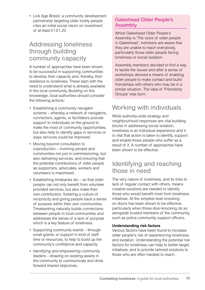• Link Age Bristol: a community development partnership targeting older lonely people cites an initial social return on investment of at least  $f1 \cdot f1$ .20

# Addressing loneliness through building community capacity

A number of approaches have been shown to be successful in supporting communities to develop their capacity and, thereby, their resilience to loneliness. These start with the need to understand what is already available in the local community. Building on this knowledge, local authorities should consider the following actions:

- Establishing a community navigator scheme – whereby a network of navigators, connectors, agents, or facilitators provide support to individuals on the ground to make the most of community opportunities, but also help to identify gaps in services or ways services could be improved.
- Moving beyond consultation to coproduction – involving people and communities not just in commissioning, but also delivering services, and ensuring that the potential contributions of older people as supporters, advocates, workers and volunteers is maximised.
- Establishing timebanks etc so that older people can not only benefit from volunteer provided services, but also make their own contribution, fostering a culture of reciprocity and giving people back a sense of purpose within their own communities. Timebanking naturally builds connections between people in local communities and addresses the sense of a lack of purpose which is a key feature of loneliness.
- Supporting community events through small grants, or support in kind of staff time or resources, to help to build up the community's confidence and capacity.
- Identifying and empowering community leaders – drawing on existing assets in the community to communicate and drive forward shared objectives.

### Gateshead Older People's Assembly

Whilst Gateshead Older People's Assembly is 'The voice of older people in Gateshead', members are aware that they are unable to reach everybody, particularly those older people facing loneliness or social isolation.

Assembly members decided to find a way to tackle the issues and after a series of workshops devised a means of enabling older people to make contact and build friendships with others who may be in a similar situation. The idea of 'Friendship Groups' was born.

# Working with individuals

While authority-wide strategy and neighbourhood responses are vital building blocks in addressing social isolation, loneliness is an individual experience and it is vital that action is taken to identify, support and enable those people who suffer as a result of it. A number of approaches have been shown to be effective.

# Identifying and reaching those in need

The very nature of loneliness, and its links to lack of regular contact with others, means creative solutions are needed to identify those who would benefit most from loneliness initiatives. At the simplest level knocking on doors has been shown to be effective, particularly when those door-knocking do so alongside trusted members of the community, such as police community support officers.

### **Understanding risk factors**

Various factors have been found to increase older people's risk of experiencing loneliness and isolation. Understanding the potential risk factors for loneliness can help to better target initiatives, and to provide tailored solutions to those who are often hardest to reach.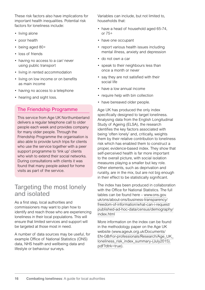These risk factors also have implications for important health inequalities. Potential risk factors for loneliness include:

- living alone
- poor health
- being aged 80+
- loss of friends
- having no access to a car/ never using public transport
- living in rented accommodation
- living on low income or on benefits as main income
- having no access to a telephone
- hearing and sight loss.

### The Friendship Programme

This service from Age UK Northumberland delivers a regular telephone call to older people each week and provides company for many older people. Through the Friendship Programme the organisation is also able to provide lunch trips for clients who use the service together with a peer support programme to 'link up' clients who wish to extend their social networks. During consultations with clients it was found that many people asked for home visits as part of the service.

## Targeting the most lonely and isolated

As a first step, local authorities and commissioners may want to plan how to identify and reach those who are experiencing loneliness in their local populations. This will ensure that limited services and support will be targeted at those most in need.

A number of data sources may be useful, for example Office of National Statistics (ONS) data, NHS health and wellbeing data and lifestyle or behaviour surveys.

Variables can include, but not limited to, households that:

- have a head of household aged 65-74, or 75+
- have one occupant
- report various health issues including mental illness, anxiety and depression
- do not own a car
- speak to their neighbours less than once a month or never
- say they are not satisfied with their social life
- have a low annual income
- require help with bin collection
- have bereaved older people.

Age UK has produced the only index specifically designed to target loneliness. Analysing data from the English Longitudinal Study of Ageing (ELSA), the research identifies the key factors associated with being 'often lonely' and, critically, weights them by their relative contribution to loneliness risk which has enabled them to construct a proper, evidence-based index. They show that self-perceived health is far more important to the overall picture, with social isolation measures playing a smaller but key role. Other elements, such as deprivation and rurality, are in the mix, but are not big enough in their effect to be statistically significant.

The index has been produced in collaboration with the Office for National Statistics. The full tables can be found here – [www.ons.gov.](http://www.ons.gov.uk/ons/about-ons/business-transparency/freedom-of-information/what-can-i-request/published-ad-hoc-data/census/demography/index.html) [uk/ons/about-ons/business-transparency/](http://www.ons.gov.uk/ons/about-ons/business-transparency/freedom-of-information/what-can-i-request/published-ad-hoc-data/census/demography/index.html) [freedom-of-information/what-can-i-request/](http://www.ons.gov.uk/ons/about-ons/business-transparency/freedom-of-information/what-can-i-request/published-ad-hoc-data/census/demography/index.html) [published-ad-hoc-data/census/demography/](http://www.ons.gov.uk/ons/about-ons/business-transparency/freedom-of-information/what-can-i-request/published-ad-hoc-data/census/demography/index.html) [index.html](http://www.ons.gov.uk/ons/about-ons/business-transparency/freedom-of-information/what-can-i-request/published-ad-hoc-data/census/demography/index.html)

More information on the index can be found in the methodology paper on the Age UK website ([www.ageuk.org.uk/Documents/](http://www.ageuk.org.uk/Documents/EN-GB/For-professionals/Research/Age_UK_loneliness_risk_index_summary-(July2015).pdf?dtrk=true) EN-GB/For-professionals/Research/Age\_UK [loneliness\\_risk\\_index\\_summary-\(July2015\).](http://www.ageuk.org.uk/Documents/EN-GB/For-professionals/Research/Age_UK_loneliness_risk_index_summary-(July2015).pdf?dtrk=true) [pdf?dtrk=true\)](http://www.ageuk.org.uk/Documents/EN-GB/For-professionals/Research/Age_UK_loneliness_risk_index_summary-(July2015).pdf?dtrk=true).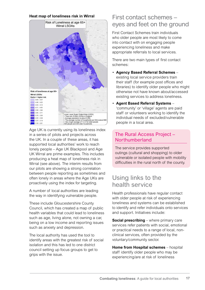#### **Heat map of loneliness risk in Wirral**



Age UK is currently using its loneliness index in a series of pilots and projects across the UK. In a couple of these areas, it has supported local authorities' work to reach lonely people – Age UK Blackpool and Age UK Wirral are prime examples. This includes producing a heat map of loneliness risk in Wirral (see above). The interim results from our pilots are showing a strong correlation between people reporting as sometimes and often lonely in areas where the Age UKs are proactively using the index for targeting.

A number of local authorities are leading the way in identifying vulnerable people.

These include Gloucestershire County Council, which has created a map of public health variables that could lead to loneliness such as age, living alone, not owning a car, being on a low income and reporting issues such as anxiety and depression.

The local authority has used the tool to identify areas with the greatest risk of social isolation and this has led to one district council setting up focus groups to get to grips with the issue.

# First contact schemes – eyes and feet on the ground

First Contact Schemes train individuals who older people are most likely to come into contact with on engaging people experiencing loneliness and make appropriate referrals to local services.

There are two main types of first contact schemes:

- **Agency Based Referral Schemes** existing local service providers train their staff (for example post offices and libraries) to identify older people who might otherwise not have known about/accessed existing services to address loneliness.
- **Agent Based Referral Systems** 'community' or 'village' agents are paid staff or volunteers working to identify the individual needs of excluded/vulnerable people in a local area.

### The Rural Access Project – Northumberland

The service provides supported outings (cultural and shopping) to older vulnerable or isolated people with mobility difficulties in the rural north of the county.

# Using links to the health service

Health professionals have regular contact with older people at risk of experiencing loneliness and systems can be established to identify and refer individuals onto services and support. Initiatives include:

**Social prescribing** – where primary care services refer patients with social, emotional or practical needs to a range of local, nonclinical services, often provided by the voluntary/community sector.

**Home from Hospital schemes** – hospital staff identify older people who may be experiencing/are at risk of loneliness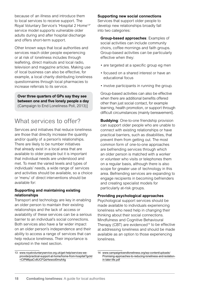because of an illness and introduce them to local services to receive support. The Royal Voluntary Service's 'Hospital 2 Home13' service model supports vulnerable older adults during and after hospital discharge and offers short-term support.

Other known ways that local authorities and services reach older people experiencing or at risk of loneliness includes through leafleting, direct mailouts and local radio, television and magazine articles. Making use of local business can also be effective, for example, a local charity distributing loneliness questionnaires through local pharmacies to increase referrals to its service.

**Over three quarters of GPs say they see between one and five lonely people a day** (Campaign to End Loneliness Poll, 2013)]

# What services to offer?

Services and initiatives that reduce loneliness are those that directly increase the quantity and/or quality of a person's relationships. There are likely to be number initiatives that already exist in a local area that are available to older people but it is important that individual needs are understood and met. To meet the varied levels and types of individuals' needs, a wide range of services and activities should be available, so a choice or 'menu' of direct interventions should be available for:

### **Supporting and maintaining existing relationships**

Transport and technology are key in enabling an older person to maintain their existing relationships and the lack of access or availability of these services can be a serious barrier to an individual's social connections. Both services also have a far wider impact on an older person's independence and their ability to access a range of services that can help reduce loneliness. Their importance is explored in the next section.

#### **Supporting new social connections**

Services that support older people to develop new relationships broadly fall into two categories:

**Group-based approaches**: Examples of social activities can include community choirs, coffee mornings and faith groups. Group-based activities can be particularly effective when they:

- are targeted at a specific group eg men
- focused on a shared interest or have an educational focus
- involve participants in running the group.

Group-based activities can also be effective when there are additional benefits offered other than just social contact, for example learning, health promotion, or support through difficult circumstances (mainly bereavement).

**Buddying:** One-to-one friendship provision can support older people who are unable to connect with existing relationships or have practical barriers, such as disabilities, that prevent them from getting out. The most common form of one-to-one approaches are befriending services through which an older person is matched with a worker or volunteer who visits or telephones them on a regular basis, although there is also scope for greater use of technology in this area. Befriending services are expanding to engage recipients in becoming befrienders and creating specialist models for particularly at-risk groups.

### **Providing psychological approaches**

Psychological support services should be made available to individuals experiencing loneliness who need help in changing their thinking about their social connections. Mindfulness and Cognitive Behavioural Therapy (CBT) are evidenced<sup>14</sup> to be effective at addressing loneliness and should be made available as an option to those experiencing loneliness.

<sup>13</sup> [www.royalvoluntaryservice.org.uk/get-help/services-we](http://www.royalvoluntaryservice.org.uk/get-help/services-we-provide/practical-support-at-home/home-from-hospital?gclid=CIPM6paCv8UCFQsHwwod0msA4g)[provide/practical-support-at-home/home-from-hospital?gclid](http://www.royalvoluntaryservice.org.uk/get-help/services-we-provide/practical-support-at-home/home-from-hospital?gclid=CIPM6paCv8UCFQsHwwod0msA4g) [=CIPM6paCv8UCFQsHwwod0msA4g](http://www.royalvoluntaryservice.org.uk/get-help/services-we-provide/practical-support-at-home/home-from-hospital?gclid=CIPM6paCv8UCFQsHwwod0msA4g)

<sup>14</sup> [www.campaigntoendloneliness.org/wp-content/uploads/](http://www.campaigntoendloneliness.org/wp-content/uploads/Promising-approaches-to-reducing-loneliness-and-isolation-in-later-life.pdf) [Promising-approaches-to-reducing-loneliness-and-isolation](http://www.campaigntoendloneliness.org/wp-content/uploads/Promising-approaches-to-reducing-loneliness-and-isolation-in-later-life.pdf)[in-later-life.pdf](http://www.campaigntoendloneliness.org/wp-content/uploads/Promising-approaches-to-reducing-loneliness-and-isolation-in-later-life.pdf)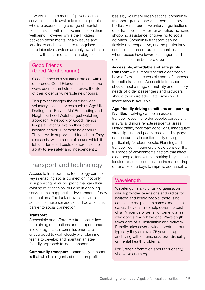In Warwickshire a menu of psychological services is made available to older people who are experiencing a range of mental health issues, with positive impacts on their wellbeing. However, while the linkages between these mental health issues and loneliness and isolation are recognised, the more intensive services are only available to those with other mental health diagnoses.

### Good Friends (Good Neighbouring)

Good Friends is a volunteer project with a difference. Good Friends focusses on the ways people can help to improve the life of their older or vulnerable neighbours.

This project bridges the gap between voluntary social services such as Age UK Darlington's 'Rely on Me' Befriending and Neighbourhood Watches 'just watching' approach. A network of Good Friends keeps a watchful eye on their older, isolated and/or vulnerable neighbours. They provide support and friendship. They also assist with a range of issues which if left unaddressed could compromise their ability to live safely and independently.

# Transport and technology

Access to transport and technology can be key in enabling social connection, not only in supporting older people to maintain their existing relationships, but also in enabling services that support the development of new connections. The lack of availability of, and access to, these services could be a serious barrier to social connection.

### **Transport**

Accessible and affordable transport is key to retaining connections and independence in older age. Local commissioners are encouraged to work closely with planning teams to develop and maintain an agefriendly approach to local transport.

**Community transport** – community transport is that which is organised on a non-profit

basis by voluntary organisations, community transport groups, and other non-statutory bodies. A number of voluntary organisations offer transport services for activities including shopping assistance, or traveling to social activities. Community transport can be flexible and responsive, and be particularly useful in dispersed rural communities, where buses have fewer passengers and destinations can be more diverse.

#### **Accessible, affordable and safe public**

**transport** – it is important that older people have affordable, accessible and safe access to public transport. Accessible transport should meet a range of mobility and sensory needs of older passengers and providers should to ensure adequate provision of information is available.

#### **Age-friendly driving conditions and parking facilities** – driving can be an essential transport option for older people, particularly in rural and more remote residential areas. Heavy traffic, poor road conditions, inadequate street lighting and poorly-positioned signage can be barriers to confident city driving,

particularly for older people. Planning and transport commissioners should consider the full range of environmental factors that affect older people, for example parking bays being located close to buildings and increased dropoff and pick-up bays to improve accessibility.

### Wavelength

Wavelength is a voluntary organisation which provides televisions and radios for isolated and lonely people; there is no cost to the recipient. In some exceptional cases, they can also help cover the cost of a TV licence or aerial for beneficiaries who don't already have one. Wavelength takes care of all installation and delivery. Beneficiaries cover a wide spectrum, but typically they are over 75 years of age and living with chronic sickness, disability or mental health problems.

For further information about this charity, visit [wavelength.org.uk](http://wavelength.org.uk)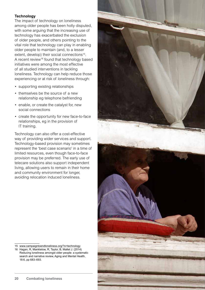### **Technology**

The impact of technology on loneliness among older people has been hotly disputed, with some arguing that the increasing use of technology has exacerbated the exclusion of older people, and others pointing to the vital role that technology can play in enabling older people to maintain (and, to a lesser extent, develop) their social connections<sup>15</sup>. A recent review<sup>16</sup> found that technology based initiatives were among the most effective of all studied interventions in tackling loneliness. Technology can help reduce those experiencing or at risk of loneliness through:

- supporting existing relationships
- themselves be the source of a new relationship eg telephone befriending
- enable, or create the catalyst for, new social connections
- create the opportunity for new face-to-face relationships, eg in the provision of IT training.

Technology can also offer a cost-effective way of providing wider services and support. Technology-based provision may sometimes represent the 'best case scenario' in a time of limited resources, even though face-to-face provision may be preferred. The early use of telecare solutions also support independent living, allowing users to remain in their home and community environment for longer, avoiding relocation induced loneliness.



<sup>16</sup> Hagan, R, Manktelow, R, Taylor, B, Mallet J. (2014) Reducing loneliness amongst older people: a systematic search and narrative review, Aging and Mental Health, 18:6, pp 683–693.

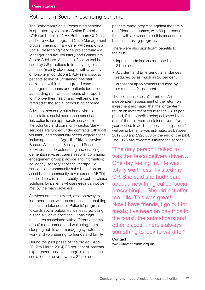### Rotherham Social Prescribing scheme

The Rotherham Social Prescribing scheme is operated by Voluntary Action Rotherham (VAR) on behalf of NHS Rotherham CCG as part of a wider Integrated Case Management programme in primary care. VAR employs a Social Prescribing Service project team – a Manager and five Voluntary and Community Sector Advisers. A risk stratification tool is used by GP practices to identify eligible patients (mainly older people with a variety of long-term conditions). Advisers discuss patients at risk of unplanned hospital admission within the integrated case management teams and patients identified as needing non-clinical means of support to improve their health and wellbeing are referred to the social prescribing scheme.

Advisers then carry out a home visit to undertake a social need assessment and link patients into appropriate services in the voluntary and community sector. Many services are funded under contracts with local voluntary and community sector organisations including the local Age UK, Citizens Advice Bureau, Alzheimer's Society and Sense. Services include befriending and enabling; dementia services; carers' respite; community engagement groups; advice and information; advocacy; sensory services; therapeutic services and community hubs based on an asset based community development (ABCD) model. There is also capacity to spot-purchase solutions for patients whose needs cannot be met by the main providers.

Services are time-limited, as a pathway to independence, with an emphasis on enabling patients to take control. Patients' progress towards social outcomes is measured using a specially developed tool. It has eight measures associated with different aspects of self-management and wellbeing; from sleeping habits and managing symptoms, to work and volunteering, to friends and family.

During the pilot phase of the project (April 2012 to March 2014) 83 per cent of patients experienced positive change in at least one social outcome area where 27 per cent of

patients made progress against the family and friends outcomes, with 69 per cent of those with a low score on this measure at baseline making progress.

There were also significant benefits to the NHS:

- inpatient admissions reduced by 21 per cent
- Accident and Emergency attendances reduced by as much as 20 per cent
- outpatient appointments reduced by as much as 21 per cent.

The pilot phase cost £1.1 million. An independent assessment of the return on investment estimated that the longer-term return on investment could reach £3.38 per pound, if the benefits being achieved by the end of the pilot were sustained over a five year period. In addition the value of patients' wellbeing benefits was estimated as between £819,000 and £920,000 by the end of the pilot. The CCG has re-commissioned the service.

"The only person I talked to was the Tesco delivery driver... One day feeling my life was totally worthless, I visited my GP. She said she had heard about a new thing called 'social prescribing'… She did not offer me pills. This was great! … Now I have friends, I go out for meals; I've been on day trips to the coast, the animal park and other places. There's always something to look forward to."

### **Contact**:

[www.varotherham.org.uk](http://www.varotherham.org.uk)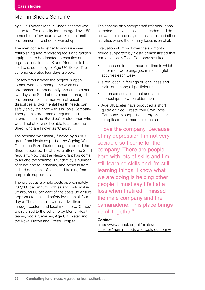### Men in Sheds Scheme

Age UK Exeter's Men in Sheds scheme was set up to offer a facility for men aged over 50 to meet for a few hours a week in the familiar environment of a shed or workshop.

The men come together to socialise over refurbishing and renovating tools and garden equipment to be donated to charities and organisations in the UK and Africa, or to be sold to raise money for Age UK Exeter. The scheme operates four days a week.

For two days a week the project is open to men who can manage the work and environment independently and on the other two days the Shed offers a more managed environment so that men with physical disabilities and/or mental health needs can safely enjoy the shed – this is Tools Company. Through this programme regular shed attendees act as 'Buddies' for older men who would not otherwise be able to access the Shed, who are known as 'Chaps'.

The scheme was initially funded by a £10,000 grant from Nesta as part of the Ageing Well Challenge Prize. During the grant period the Shed supported 19 Chaps to attend the Shed regularly. Now that the Nesta grant has come to an end the scheme is funded by a number of trusts and foundations, and benefits from in-kind donations of tools and training from corporate supporters.

The project as a whole costs approximately £32,000 per annum, with salary costs making up around 80 per cent of the costs (to ensure appropriate risk and safety levels on all four days). The scheme is widely advertised through posters and local media etc. 'Chaps' are referred to the scheme by Mental Health teams, Social Services, Age UK Exeter and the Royal Devon and Exeter Hospital.

The scheme also accepts self-referrals. It has attracted men who have not attended and do not want to attend day centres, clubs and other activities where the primary focus is on chat.

Evaluation of impact over the six month period supported by Nesta demonstrated that participation in Tools Company resulted in:

- an increase in the amount of time in which older men were engaged in meaningful activities each week
- a reduction in feelings of loneliness and isolation among all participants
- increased social contact and lasting friendships between older men
- Age UK Exeter have produced a short guide entitled 'Create Your Own Tools Company' to support other organisations to replicate their model in other areas.

"I love the company. Because of my depression I'm not very sociable so I come for the company. There are people here with lots of skills and I'm still learning skills and I'm still learning things. I know what we are doing is helping other people. I must say I felt at a loss when I retired. I missed the male company and the camaraderie. This place brings us all together"

#### **Contact**:

https://www.ageuk.org.uk/exeter/our[services/men-in-sheds-and-tools-company/](https://www.ageuk.org.uk/exeter/our-services/men-in-sheds-and-tools-company/)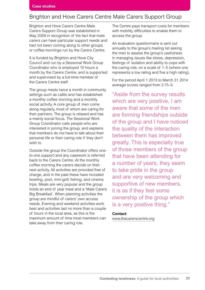### Brighton and Hove Carers Centre Male Carers Support Group

Brighton and Hove Carers Centre Male Carers Support Group was established in May 2009 in recognition of the fact that male carers can have particular support needs and had not been coming along to other groups or coffee mornings run by the Carers Centre.

It is funded by Brighton and Hove City Council and run by a Sessional Work Group Coordinator who is employed 10 hours a month by the Carers Centre, and is supported and supervised by a full-time member of the Carers Centre staff.

The group meets twice a month in community settings such as cafés and has established a monthly coffee morning and a monthly social activity. A core group of men come along regularly, most of whom are caring for their partners. The group is relaxed and has a mainly social focus. The Sessional Work Group Coordinator calls people who are interested in joining the group, and explains that members do not have to talk about their personal life or their caring role if they don't wish to.

Outside the group the Coordinator offers oneto-one support and any casework is referred back to the Carers Centre. At the monthly coffee morning the carers decide on their next activity. All activities are provided free of charge, and in the past these have included bowling, pool, mini-golf, fishing, and cinema trips. Meals are very popular and the group holds an end of year meal and a 'Male Carers Big Breakfast'. When planning activities the group are mindful of carers' own access needs. Evening and weekend activities work best and activities last no more than a couple of hours in the local area, as this is the maximum amount of time most members can take away from their caring role.

The Centre pays transport costs for members with mobility difficulties to enable them to access the group.

An evaluation questionnaire is sent out annually to the group's mailing list asking the men to assess the group's usefulness in managing issues like stress, depression, feelings of isolation and ability to cope with the caring role, on a scale of 1–5 (where one represents a low rating and five a high rating).

For the period April 1 2013 to March 31 2014 average scores ranged from 3.75–5.

"Aside from the survey results which are very positive, I am aware that some of the men are forming friendships outside of the group and I have noticed the quality of the interaction between them has improved greatly. This is especially true of those members of the group that have been attending for a number of years, they seem to take pride in the group and are very welcoming and supportive of new members, it is as if they feel some ownership of the group which is a very positive thing."

#### **Contact**:

[www.thecarerscentre.org](http://www.thecarerscentre.org)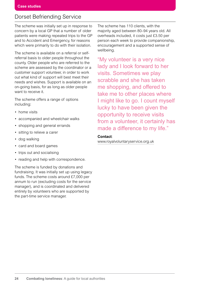### Dorset Befriending Service

The scheme was initially set up in response to concern by a local GP that a number of older patients were making repeated trips to the GP and to Accident and Emergency, for reasons which were primarily to do with their isolation.

The scheme is available on a referral or selfreferral basis to older people throughout the county. Older people who are referred to the scheme are assessed by the coordinator or a customer support volunteer, in order to work out what kind of support will best meet their needs and wishes. Support is available on an on-going basis, for as long as older people want to receive it.

The scheme offers a range of options including:

- home visits
- accompanied and wheelchair walks
- shopping and general errands
- sitting to relieve a carer
- dog walking
- card and board games
- trips out and socialising
- reading and help with correspondence.

The scheme is funded by donations and fundraising. It was initially set up using legacy funds. The scheme costs around £7,000 per annum to run (excluding costs for the service manager), and is coordinated and delivered entirely by volunteers who are supported by the part-time service manager.

The scheme has 110 clients, with the majority aged between 80–94 years old. All overheads included, it costs just £3.50 per person each week to provide companionship, encouragement and a supported sense of wellbeing.

"My volunteer is a very nice lady and I look forward to her visits. Sometimes we play scrabble and she has taken me shopping, and offered to take me to other places where I might like to go. I count myself lucky to have been given the opportunity to receive visits from a volunteer, it certainly has made a difference to my life."

#### **Contact**:

[www.royalvoluntaryservice.org.uk](http://www.royalvoluntaryservice.org.uk)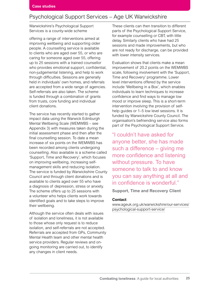### Psychological Support Services – Age UK Warwickshire

Warwickshire's Psychological Support Services is a county-wide scheme

offering a range of interventions aimed at improving wellbeing and supporting older people. A counselling service is available to clients who are aged over 55, or who are caring for someone aged over 55, offering up to 25 sessions with a trained counsellor who provides emotional support, confidential, non-judgemental listening, and help to work through difficulties. Sessions are generally held in individuals' own homes, and referrals are accepted from a wide range of agencies. Self-referrals are also taken. The scheme is funded through a combination of grants from trusts, core funding and individual client donations.

The service has recently started to gather impact data using the Warwick Edinburgh Mental Wellbeing Scale (WEMWBS – see Appendix 3) with measures taken during the initial assessment phase and then after the final counselling session. To date a mean increase of six points on the WEMWBS has been recorded among clients undergoing counselling. Also available is a scheme called 'Support, Time and Recovery', which focuses on improving wellbeing, increasing selfmanagement skills and reducing isolation. The service is funded by Warwickshire County Council and through client donations and is available to clients aged over 55 who have a diagnosis of depression, stress or anxiety. The scheme offers up to 25 sessions with a volunteer who helps clients work towards identified goals and to take steps to improve their wellbeing.

Although the service often deals with issues of isolation and loneliness, it is not available to those whose only request is to reduce isolation, and self-referrals are not accepted. Referrals are accepted from GPs, Community Mental Health team and other mental health service providers. Regular reviews and ongoing monitoring are carried out, to identify any changes in client needs.

These clients can then transition to different parts of the Psychological Support Service, for example counselling or CBT, with little delay. Similarly clients who have had 25 sessions and made improvements, but who are not ready for discharge, can be provided with lower intensity services.

Evaluation shows that clients make a mean improvement of 20.2 points on the WEMWBS scale, following involvement with the 'Support, Time and Recovery' programme. Lower level interventions offered by the service include 'Wellbeing in a Box', which enables individuals to learn techniques to increase confidence and find ways to manage low mood or improve sleep. This is a short-term intervention involving the provision of selfhelp guides or 1–5 low level sessions. It is funded by Warwickshire County Council. The organisation's befriending service also forms part of the Psychological Support Service.

"I couldn't have asked for anyone better, she has made such a difference – giving me more confidence and listening without pressure. To have someone to talk to and know you can say anything at all and in confidence is wonderful."

**Support, Time and Recovery Client**

#### **Contact**:

[www.ageuk.org.uk/warwickshire/our-services/](http://www.ageuk.org.uk/warwickshire/our-services/psychological-support-service/) [psychological-support-service/](http://www.ageuk.org.uk/warwickshire/our-services/psychological-support-service/)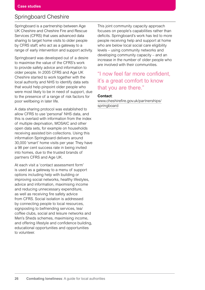### Springboard Cheshire

Springboard is a partnership between Age UK Cheshire and Cheshire Fire and Rescue Services (CFRS) that uses advanced data sharing to target home visits to older people by CFRS staff, who act as a gateway to a range of early intervention and support activity.

Springboard was developed out of a desire to maximise the value of the CFRS's work to provide safety advice and information to older people. In 2005 CFRS and Age UK Cheshire started to work together with the local authority and NHS to identify data sets that would help pinpoint older people who were most likely to be in need of support, due to the presence of a range of risk factors for poor wellbeing in later life.

A data sharing protocol was established to allow CFRS to use 'personal' NHS data, and this is overlaid with information from the index of multiple deprivation, MOSAIC and other open data sets, for example on households receiving assisted bin collections. Using this information Springboard delivers around 30,000 'smart' home visits per year. They have a 98 per cent success rate in being invited into homes, due to the trusted brands of partners CFRS and Age UK.

At each visit a 'contact assessment form' is used as a gateway to a menu of support options including help with building or improving social networks, healthy lifestyles, advice and information, maximising income and reducing unnecessary expenditure, as well as receiving fire safety advice from CFRS. Social isolation is addressed by connecting people to local resources, signposting to befriending services, tea/ coffee clubs, social and leisure networks and Men's Sheds schemes, maximising income, and offering lifestyle and confidence building, educational opportunities and opportunities to volunteer.

This joint community capacity approach focuses on people's capabilities rather than deficits. Springboard's work has led to more people receiving help and support at home who are below local social care eligibility levels – using community networks and developing community capacity – and an increase in the number of older people who are involved with their communities.

## "I now feel far more confident, it's a great comfort to know that you are there."

#### **Contact**:

[www.cheshirefire.gov.uk/partnerships/](http://www.cheshirefire.gov.uk/partnerships/springboard) [springboard](http://www.cheshirefire.gov.uk/partnerships/springboard)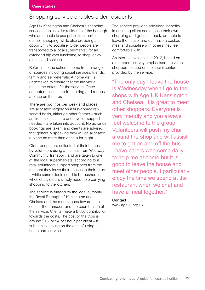### Shopping service enables older residents

Age UK Kensington and Chelsea's shopping service enables older residents of the borough who are unable to use public transport to do their shopping, while also providing an opportunity to socialise. Older people are transported to a local supermarket, for an extended trip over lunchtime, to shop, enjoy a meal and socialise.

Referrals to the scheme come from a range of sources including social services, friends, family and self-referrals. A home visit is undertaken to ensure that the individual meets the criteria for the service. Once accepted, clients are free to ring and request a place on the trips.

There are two trips per week and places are allocated largely on a first-come-firstserved basis, although other factors – such as time since last trip and level of support needed – are taken into account. No advance bookings are taken, and clients are advised that generally speaking they will be allocated a place no more than once a fortnight.

Older people are collected at their homes by volunteers using a minibus from Westway Community Transport, and are taken to one of the local supermarkets, according to a rota. Volunteers support shoppers from the moment they leave their houses to their return – while some clients need to be pushed in a wheelchair, others simply need help carrying shopping to the kitchen.

The service is funded by the local authority the Royal Borough of Kensington and Chelsea and the money goes towards the cost of the transport and the coordination of the service. Clients make a £1.50 contribution towards the costs. The cost of the trips is around £15, or £4 per hour, per client – a substantial saving on the cost of using a home care service.

The service provides additional benefits in ensuring client can choose their own shopping and get cash back, are able to leave the house, and can have a cooked meal and socialise with others they feel comfortable with.

An internal evaluation in 2012, based on a members' survey emphasised the value shoppers placed on the social contact provided by the service.

"The only day I leave the house is Wednesday when I go to the shops with Age UK Kensington and Chelsea. It is great to meet other shoppers. Everyone is very friendly and you always feel welcome to the group. Volunteers will push my chair around the shop and will assist me to get on and off the bus. I have carers who come daily to help me at home but it is good to leave the house and meet other people. I particularly enjoy the time we spend at the restaurant when we chat and have a meal together."

#### **Contact**:

[www.ageuk.org.uk](http://www.ageuk.org.uk)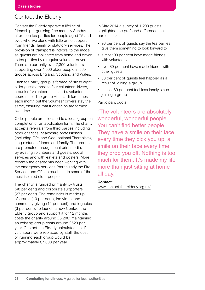### Contact the Elderly

Contact the Elderly operate a lifeline of friendship organising free monthly Sunday afternoon tea parties for people aged 75 and over, who live alone with little or no support from friends, family or statutory services. The provision of transport is integral to the model as guests are collected from home and driven to tea parties by a regular volunteer driver. There are currently over 7,300 volunteers supporting over 4,500 older people in 560 groups across England, Scotland and Wales.

Each tea party group is formed of six to eight older guests, three to four volunteer drivers, a bank of volunteer hosts and a volunteer coordinator. The group visits a different host each month but the volunteer drivers stay the same, ensuring that friendships are formed over time.

Older people are allocated to a local group on completion of an application form. The charity accepts referrals from third parties including other charities, healthcare professionals (including GPs and Occupational Therapists), long distance friends and family. The groups are promoted through local print media, by existing volunteers and guests, social services and with leaflets and posters. More recently the charity has been working with the emergency services (particularly the Fire Service) and GPs to reach out to some of the most isolated older people.

The charity is funded primarily by trusts (48 per cent) and corporate supporters (27 per cent). The remainder is made up of grants (10 per cent), individual and community giving (11 per cent) and legacies (3 per cent). To launch a new Contact the Elderly group and support it for 12 months costs the charity around £5,200; maintaining an existing group costs around £620 per year. Contact the Elderly calculates that if volunteers were replaced by staff the cost of running each group would be approximately £7,000 per year.

In May 2014 a survey of 1,200 guests highlighted the profound difference tea parties make:

- 96 per cent of guests say the tea parties give them something to look forward to
- almost 90 per cent have made friends with volunteers
- over 80 per cent have made friends with other guests
- 80 per cent of guests feel happier as a result of joining a group
- almost 80 per cent feel less lonely since joining a group.

Participant quote:

"The volunteers are absolutely wonderful, wonderful people. You can't find better people. They have a smile on their face every time they pick you up, a smile on their face every time they drop you off. Nothing is too much for them. It's made my life more than just sitting at home all day."

#### **Contact**:

[www.contact-the-elderly.org.uk/](http://www.contact-the-elderly.org.uk/)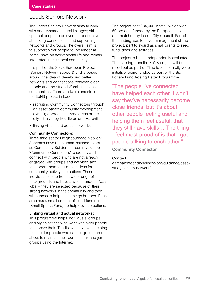### Leeds Seniors Network

The Leeds Seniors Network aims to work with and enhance natural linkages; skilling up local people to be even more effective at making connections, and supporting networks and groups. The overall aim is to support older people to live longer at home, have an active social life and remain integrated in their local community.

It is part of the SeNS European Project (Seniors Network Support) and is based around the idea of developing better networks and connections between older people and their friends/families in local communities. There are two elements to the SeNS project in Leeds:

- recruiting Community Connectors through an asset based community development (ABCD) approach in three areas of the city – Calverley, Middleton and Harehills
- linking virtual and actual networks.

#### **Community Connectors:**

Three third sector Neighbourhood Network Schemes have been commissioned to act as Community Builders to recruit volunteer 'Community Connectors' to identify and connect with people who are not already engaged with groups and activities and to support them to turn their ideas for community activity into actions. These individuals come from a wide range of backgrounds and have a whole range of 'day jobs' – they are selected because of their strong networks in the community and their willingness to help make things happen. Each area has a small amount of seed funding (Small Sparks Fund), to help develop actions.

#### **Linking virtual and actual networks:**

This programme helps individuals, groups and organisations who work with older people to improve their IT skills, with a view to helping those older people who cannot get out and about to maintain their connections and join groups using the Internet.

The project cost £84,000 in total, which was 50 per cent funded by the European Union and matched by Leeds City Council. Part of the funding was to cover management of the project, part to award as small grants to seed fund ideas and activities.

The project is being independently evaluated. The learning from the SeNS project will be rolled out as part of Time to Shine, a city wide initiative, being funded as part of the Big Lottery Fund Ageing Better Programme.

"The people I've connected have helped each other. I won't say they've necessarily become close friends, but it's about other people feeling useful and helping them feel useful, that they still have skills… The thing I feel most proud of is that I got people talking to each other." **Community Connector**

#### **Contact**:

[campaigntoendloneliness.org/guidance/case](http://campaigntoendloneliness.org/guidance/case-study/seniors-network/)[study/seniors-network/](http://campaigntoendloneliness.org/guidance/case-study/seniors-network/)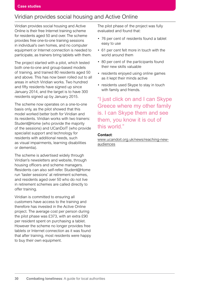### Viridian provides social housing and Active Online

Viridian provides social housing and Active Online is their free Internet training scheme for residents aged 50 and over. The scheme provides free one-to-one training sessions in individual's own homes, and no computer equipment or Internet connection is needed to participate, as trainers bring tablets with them.

The project started with a pilot, which tested both one-to-one and group-based models of training, and trained 80 residents aged 50 and above. This has now been rolled out to all areas in which Viridian works. Two hundred and fifty residents have signed up since January 2014, and the target is to have 300 residents signed up by January 2015.

The scheme now operates on a one-to-one basis only, as the pilot showed that this model worked better both for Viridian and its residents. Viridian works with two trainers: Student@Home (who provide the majority of the sessions) and UCanDoIT (who provide specialist support and technology for residents with additional needs, such as visual impairments, learning disabilities or dementia).

The scheme is advertised widely through Viridian's newsletters and website, through housing officers and scheme managers. Residents can also self-refer. Student@Home run 'taster sessions' at retirement schemes, and residents aged over 50 who do not live in retirement schemes are called directly to offer training.

Viridian is committed to ensuring all customers have access to the training and therefore has invested in the Active Online project. The average cost per person during the pilot phase was £373, with an extra £90 per resident spent on purchasing a tablet. However the scheme no longer provides free tablets or Internet connection as it was found that after training, most residents were happy to buy their own equipment.

The pilot phase of the project was fully evaluated and found that:

- 76 per cent of residents found a tablet easy to use
- 61 per cent felt more in touch with the world around them
- 80 per cent of the participants found their new skills valuable
- residents enjoyed using online games as it kept their minds active
- residents used Skype to stay in touch with family and friends.

"I just click on and I can Skype Greece where my other family is. I can Skype them and see them, you know it is out of this world."

#### **Contact**:

[www.ucandoit.org.uk/news/reaching-new](www.ucandoit.org.uk/news/reaching-new-audiences)audiences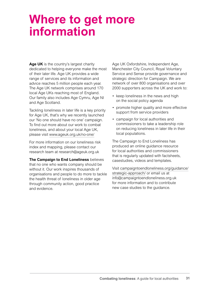# **Where to get more information**

**Age UK** is the country's largest charity dedicated to helping everyone make the most of their later life. Age UK provides a wide range of services and its information and advice reaches 5 million people each year. The Age UK network comprises around 170 local Age UKs reaching most of England. Our family also includes Age Cymru, Age NI and Age Scotland.

Tackling loneliness in later life is a key priority for Age UK, that's why we recently launched our 'No one should have no one' campaign. To find out more about our work to combat loneliness, and about your local Age UK, please visit [www.ageuk.org.uk/no-one/](http://www.ageuk.org.uk/no-one/)

For more information on our loneliness risk index and mapping, please contact our research team at research@ageuk.org.uk

**The Campaign to End Loneliness** believes that no one who wants company should be without it. Our work inspires thousands of organisations and people to do more to tackle the health threat of loneliness in older age through community action, good practice and evidence.

Age UK Oxfordshire, Independent Age, Manchester City Council, Royal Voluntary Service and Sense provide governance and strategic direction for Campaign. We are network of over 800 organisations and over 2000 supporters across the UK and work to:

- keep loneliness in the news and high on the social policy agenda
- promote higher quality and more effective support from service providers
- campaign for local authorities and commissioners to take a leadership role on reducing loneliness in later life in their local populations.

The Campaign to End Loneliness has produced an online guidance resource for local authorities and commissioners that is regularly updated with factsheets, casestudies, videos and templates.

Visit [campaigntoendloneliness.org/guidance/](http://campaigntoendloneliness.org/guidance/strategic-approach/) [strategic-approach/](http://campaigntoendloneliness.org/guidance/strategic-approach/) or email us at info@campaigntoendloneliness.org.uk for more information and to contribute new case studies to the guidance.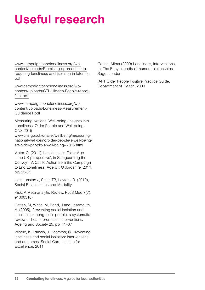# **Useful research**

[www.campaigntoendloneliness.org/wp](http://www.campaigntoendloneliness.org/wp-content/uploads/Promising-approaches-to-reducing-loneliness-and-isolation-in-later-life.pdf)[content/uploads/Promising-approaches-to](http://www.campaigntoendloneliness.org/wp-content/uploads/Promising-approaches-to-reducing-loneliness-and-isolation-in-later-life.pdf)[reducing-loneliness-and-isolation-in-later-life.](http://www.campaigntoendloneliness.org/wp-content/uploads/Promising-approaches-to-reducing-loneliness-and-isolation-in-later-life.pdf) [pdf](http://www.campaigntoendloneliness.org/wp-content/uploads/Promising-approaches-to-reducing-loneliness-and-isolation-in-later-life.pdf)

[www.campaigntoendloneliness.org/wp](http://www.campaigntoendloneliness.org/wp-content/uploads/CEL-Hidden-People-report-final.pdf)[content/uploads/CEL-Hidden-People-report](http://www.campaigntoendloneliness.org/wp-content/uploads/CEL-Hidden-People-report-final.pdf)[final.pdf](http://www.campaigntoendloneliness.org/wp-content/uploads/CEL-Hidden-People-report-final.pdf)

[www.campaigntoendloneliness.org/wp](http://www.campaigntoendloneliness.org/wp-content/uploads/Loneliness-Measurement-Guidance1.pdf)[content/uploads/Loneliness-Measurement-](http://www.campaigntoendloneliness.org/wp-content/uploads/Loneliness-Measurement-Guidance1.pdf)[Guidance1.pdf](http://www.campaigntoendloneliness.org/wp-content/uploads/Loneliness-Measurement-Guidance1.pdf)

Measuring National Well-being, Insights into Loneliness, Older People and Well-being, ONS 2015

[www.ons.gov.uk/ons/rel/wellbeing/measuring](http://www.ons.gov.uk/ons/rel/wellbeing/measuring-national-well-being/older-people-s-well-being/art-older-people-s-well-being--2015.html)[national-well-being/older-people-s-well-being/](http://www.ons.gov.uk/ons/rel/wellbeing/measuring-national-well-being/older-people-s-well-being/art-older-people-s-well-being--2015.html) [art-older-people-s-well-being--2015.html](http://www.ons.gov.uk/ons/rel/wellbeing/measuring-national-well-being/older-people-s-well-being/art-older-people-s-well-being--2015.html)

Victor, C. (2011) 'Loneliness in Older Age – the UK perspective', in Safeguarding the Convoy – A Call to Action from the Campaign to End Loneliness, Age UK Oxfordshire, 2011, pp. 23-31

Holt-Lunstad J, Smith TB, Layton JB. (2010), Social Relationships and Mortality

Risk: A Meta-analytic Review, PLoS Med 7(7): e1000316)

Cattan, M, White, M, Bond, J and Learmouth, A. (2005), Preventing social isolation and loneliness among older people: a systematic review of health promotion interventions. Ageing and Society 25, pp. 41–67

Windle, K, Francis, J, Coomber, C. Preventing loneliness and social isolation: interventions and outcomes, Social Care Institute for Excellence, 2011

Cattan, Mima (2009) Loneliness, interventions. In: The Encyclopedia of human relationships. Sage, London

IAPT Older People Positive Practice Guide, Department of Health, 2009